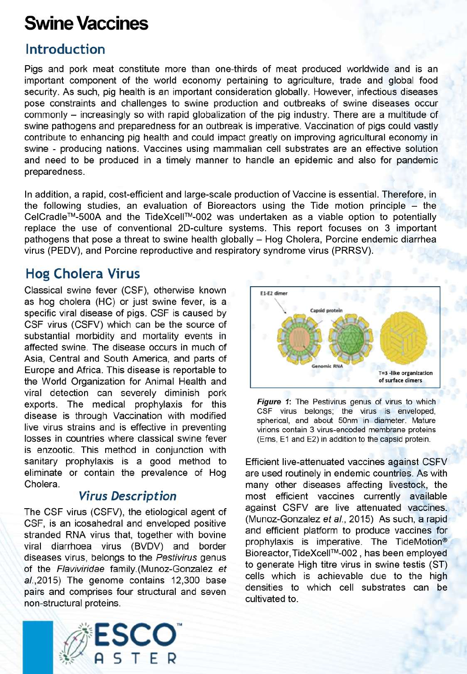# **Swine Vaccines**

# **Introduction**

Pigs and pork meat constitute more than one-thirds of meat produced worldwide and is an important component of the world economy pertaining to agriculture, trade and global food security. As such, pig health is an important consideration globally. However, infectious diseases pose constraints and challenges to swine production and outbreaks of swine diseases occur commonly – increasingly so with rapid globalization of the pig industry. There are a multitude of swine pathogens and preparedness for an outbreak is imperative. Vaccination of pigs could vastly contribute to enhancing pig health and could impact greatly on improving agricultural economy in swine - producing nations. Vaccines using mammalian cell substrates are an effective solution and need to be produced in a timely manner to handle an epidemic and also for pandemic preparedness.

In addition, a rapid, cost-efficient and large-scale production of Vaccine is essential. Therefore, in the following studies, an evaluation of Bioreactors using the Tide motion principle  $-$  the CelCradle™-500A and the TideXcell™-002 was undertaken as a viable option to potentially replace the use of conventional 2D-culture systems. This report focuses on 3 important pathogens that pose a threat to swine health globally - Hog Cholera, Porcine endemic diarrhea virus (PEDV), and Porcine reproductive and respiratory syndrome virus (PRRSV).

# **Hog Cholera Virus**

Classical swine fever (CSF), otherwise known as hog cholera (HC) or just swine fever, is a specific viral disease of pigs. CSF is caused by CSF virus (CSFV) which can be the source of substantial morbidity and mortality events in affected swine. The disease occurs in much of Asia, Central and South America, and parts of Europe and Africa. This disease is reportable to the World Organization for Animal Health and viral detection can severely diminish pork exports. The medical prophylaxis for this disease is through Vaccination with modified live virus strains and is effective in preventing losses in countries where classical swine fever is enzootic. This method in conjunction with sanitary prophylaxis is a good method to eliminate or contain the prevalence of Hog Cholera.

## **Virus Description**

The CSF virus (CSFV), the etiological agent of CSF, is an icosahedral and enveloped positive stranded RNA virus that, together with bovine viral diarrhoea virus (BVDV) and border diseases virus, belongs to the Pestivirus genus of the Flaviviridae family.(Munoz-Gonzalez et al., 2015) The genome contains 12,300 base pairs and comprises four structural and seven non-structural proteins.



Figure 1: The Pestivirus genus of virus to which CSF virus belongs; the virus is enveloped, spherical, and about 50nm in diameter. Mature virions contain 3 virus-encoded membrane proteins (Erns, E1 and E2) in addition to the capsid protein.

Efficient live-attenuated vaccines against CSFV are used routinely in endemic countries. As with many other diseases affecting livestock, the most efficient vaccines currently available against CSFV are live attenuated vaccines. (Munoz-Gonzalez et al., 2015) As such, a rapid and efficient platform to produce vaccines for prophylaxis is imperative. The TideMotion® Bioreactor, TideXcell™-002, has been employed to generate High titre virus in swine testis (ST) cells which is achievable due to the high densities to which cell substrates can be cultivated to.

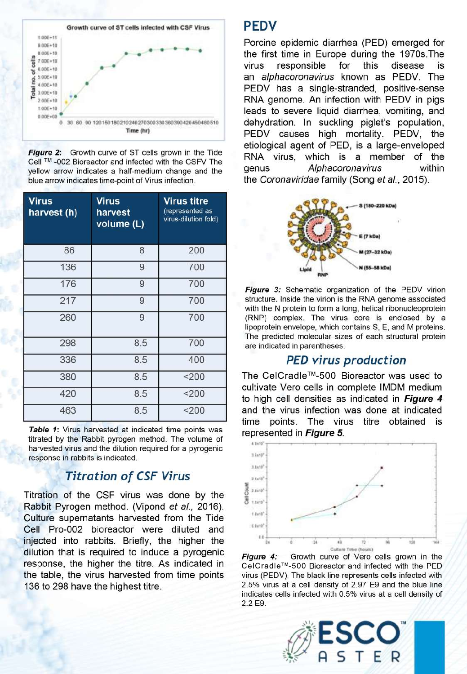

**Figure 2:** Growth curve of ST cells grown in the Tide Cell ™-002 Bioreactor and infected with the CSFV The vellow arrow indicates a half-medium change and the blue arrow indicates time-point of Virus infection.

| <b>Virus</b><br>harvest (h) | <b>Virus</b><br>harvest<br>volume (L) | <b>Virus titre</b><br>(represented as<br>virus-dilution fold) |
|-----------------------------|---------------------------------------|---------------------------------------------------------------|
| 86                          | 8                                     | 200                                                           |
| 136                         | 9                                     | 700                                                           |
| 176                         | 9                                     | 700                                                           |
| 217                         | 9                                     | 700                                                           |
| 260                         | 9                                     | 700                                                           |
| 298                         | 8.5                                   | 700                                                           |
| 336                         | 8.5                                   | 400                                                           |
| 380                         | 8.5                                   | $200$                                                         |
| 420                         | 8.5                                   | 200                                                           |
| 463                         | 8.5                                   | $200$                                                         |

Table 1: Virus harvested at indicated time points was titrated by the Rabbit pyrogen method. The volume of harvested virus and the dilution required for a pyrogenic response in rabbits is indicated.

## **Titration of CSF Virus**

Titration of the CSF virus was done by the Rabbit Pyrogen method. (Vipond et al., 2016). Culture supernatants harvested from the Tide Cell Pro-002 bioreactor were diluted and injected into rabbits. Briefly, the higher the dilution that is required to induce a pyrogenic response, the higher the titre. As indicated in the table, the virus harvested from time points 136 to 298 have the highest titre.

#### **PEDV**

Porcine epidemic diarrhea (PED) emerged for the first time in Europe during the 1970s. The responsible for this virus disease an alphacoronavirus known as PEDV. The PEDV has a single-stranded, positive-sense RNA genome. An infection with PEDV in pigs leads to severe liquid diarrhea, vomiting, and dehydration. In suckling piglet's population, PEDV causes high mortality. PEDV, the etiological agent of PED, is a large-enveloped RNA virus, which is a member of the genus Alphacoronavirus within the Coronaviridae family (Song et al., 2015).



Figure 3: Schematic organization of the PEDV virion structure. Inside the virion is the RNA genome associated with the N protein to form a long, helical ribonucleoprotein (RNP) complex. The virus core is enclosed by a lipoprotein envelope, which contains S, E, and M proteins. The predicted molecular sizes of each structural protein are indicated in parentheses.

#### **PED virus production**

The CelCradle™-500 Bioreactor was used to cultivate Vero cells in complete IMDM medium to high cell densities as indicated in Figure 4 and the virus infection was done at indicated time points. The virus titre obtained is represented in Figure 5.



Figure 4: Growth curve of Vero cells grown in the CelCradle™-500 Bioreactor and infected with the PED virus (PEDV). The black line represents cells infected with 2.5% virus at a cell density of 2.97 E9 and the blue line indicates cells infected with 0.5% virus at a cell density of 2.2 E9.

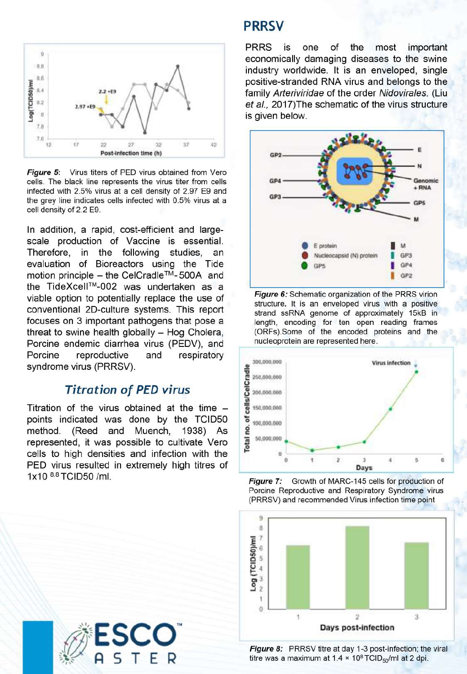

Figure 5: Virus titers of PED virus obtained from Vero cells. The black line represents the virus titer from cells infected with 2.5% virus at a cell density of 2.97 E9 and the grey line indicates cells infected with 0.5% virus at a cell density of 2.2 E9.

In addition, a rapid, cost-efficient and largescale production of Vaccine is essential. Therefore, in the following studies, an evaluation of Bioreactors using the Tide motion principle – the CelCradle™-500A and the TideXcell™-002 was undertaken as a viable option to potentially replace the use of conventional 2D-culture systems. This report focuses on 3 important pathogens that pose a threat to swine health globally - Hog Cholera, Porcine endemic diarrhea virus (PEDV), and Porcine reproductive and respiratory syndrome virus (PRRSV).

#### **Titration of PED virus**

Titration of the virus obtained at the time points indicated was done by the TCID50 method. (Reed and Muench, 1938) As represented, it was possible to cultivate Vero cells to high densities and infection with the PED virus resulted in extremely high titres of 1x10 8.8 TCID50 /ml.



## **PRRSV**

**PRRS** is one of the most important economically damaging diseases to the swine industry worldwide. It is an enveloped, single positive-stranded RNA virus and belongs to the family Arteriviridae of the order Nidovirales. (Liu et al., 2017) The schematic of the virus structure is given below.



Figure 6: Schematic organization of the PRRS virion structure. It is an enveloped virus with a positive strand ssRNA genome of approximately 15kB in length, encoding for ten open reading frames (ORFs).Some of the encoded proteins and the nucleoprotein are represented here.







Figure 8: PRRSV titre at day 1-3 post-infection; the viral titre was a maximum at  $1.4 \times 10^8$  TCID<sub>50</sub>/ml at 2 dpi.